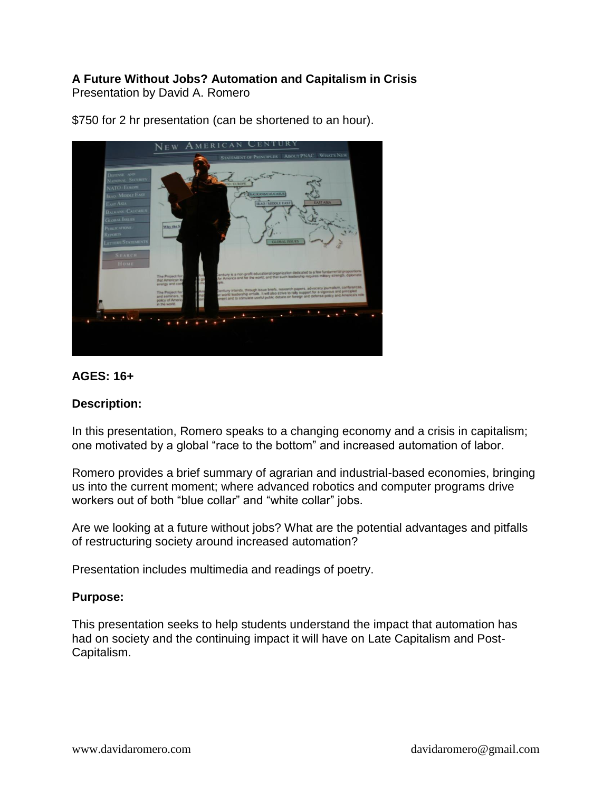#### **A Future Without Jobs? Automation and Capitalism in Crisis** Presentation by David A. Romero



\$750 for 2 hr presentation (can be shortened to an hour).

# **AGES: 16+**

### **Description:**

In this presentation, Romero speaks to a changing economy and a crisis in capitalism; one motivated by a global "race to the bottom" and increased automation of labor.

Romero provides a brief summary of agrarian and industrial-based economies, bringing us into the current moment; where advanced robotics and computer programs drive workers out of both "blue collar" and "white collar" jobs.

Are we looking at a future without jobs? What are the potential advantages and pitfalls of restructuring society around increased automation?

Presentation includes multimedia and readings of poetry.

### **Purpose:**

This presentation seeks to help students understand the impact that automation has had on society and the continuing impact it will have on Late Capitalism and Post-Capitalism.